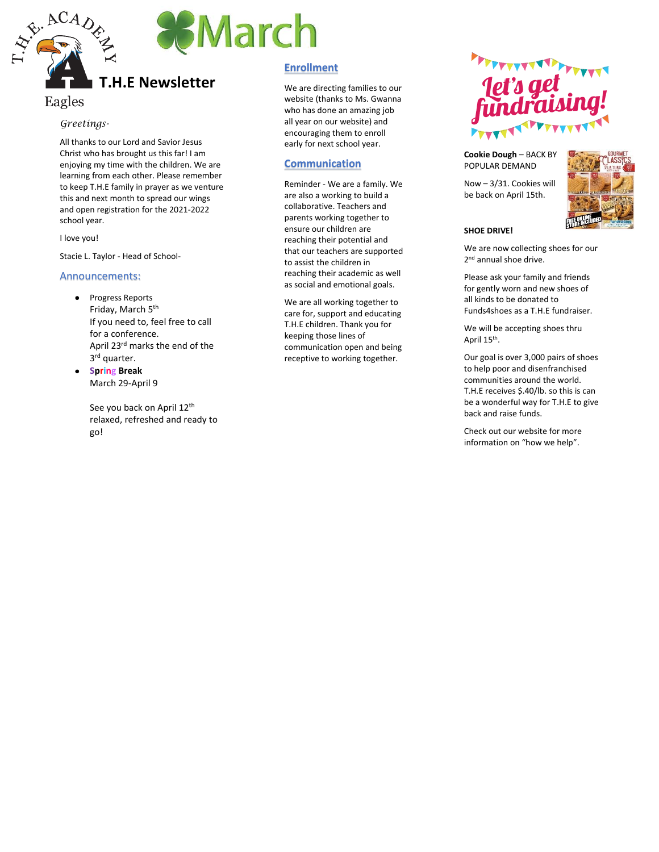



# **T.H.E Newsletter**

# Eagles

#### *Greetings -*

All thanks to our Lord and Savior Jesus Christ who has brought us this far! I am enjoying my time with the children. We are learning from each other. Please remember to keep T.H.E family in prayer as we venture this and next month to spread our wings and open registration for the 2021 -2022 school year.

I love you!

Stacie L. Taylor - Head of School-

#### Announcements:

- Progress Reports Friday, March 5th If you need to, feel free to call for a conference. April 23<sup>rd</sup> marks the end of the  $3^{rd}$  quarter.
- **S p r i n g Break** March 29 -April 9

See you back on April 12<sup>th</sup> relaxed, refreshed and ready to go!

## **Enrollment**

We are directing families to our website (thanks to Ms. Gwanna who has done an amazing job all year on our website) and encouraging them to enroll early for next school year.

## **Communication**

Reminder - We are a family. We are also a working to build a collaborative. Teachers and parents working together to ensure our children are reaching their potential and that our teachers are supported to assist the children in reaching their academic as well as social and emotional goals.

We are all working together to care for, support and educating T.H.E children. Thank you for keeping those lines of communication open and being receptive to working together.



**Cookie Dough** – BACK BY POPULAR DEMAND

Now – 3/31. Cookies will be back on April 15th.



### **SHOE DRIVE!**

We are now collecting shoes for our 2<sup>nd</sup> annual shoe drive.

Please ask your family and friends for gently worn and new shoes of all kinds to be donated to Funds4shoes as a T.H.E fundraiser.

We will be accepting shoes thru April 15th.

Our goal is over 3,000 pairs of shoes to help poor and disenfranchised communities around the world. T.H.E receives \$.40/lb. so this is can be a wonderful way for T.H.E to give back and raise funds.

Check out our website for more information on "how we help".